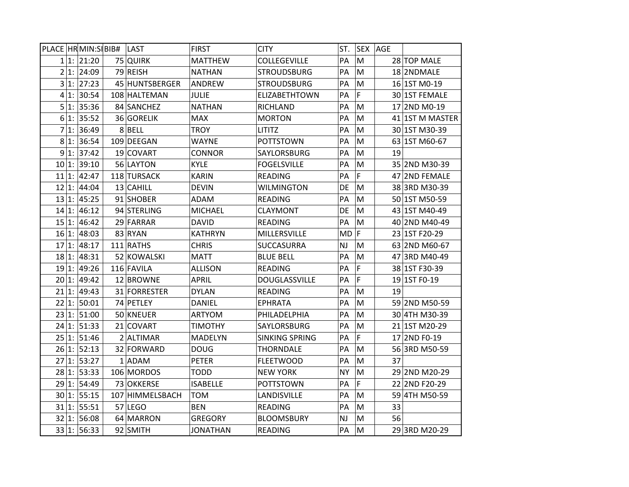|          |         | PLACE HR MIN: SIBIB# | LAST              | <b>FIRST</b>    | <b>CITY</b>           | ST.       | <b>SEX</b> | AGE |                 |
|----------|---------|----------------------|-------------------|-----------------|-----------------------|-----------|------------|-----|-----------------|
|          |         | 1 1: 21:20           | 75 QUIRK          | <b>MATTHEW</b>  | COLLEGEVILLE          | PA        | M          |     | 28 TOP MALE     |
|          |         | 2 1: 24:09           | 79 REISH          | <b>NATHAN</b>   | <b>STROUDSBURG</b>    | PA        | M          |     | 18 2NDMALE      |
|          |         | 3 1: 27:23           | 45 HUNTSBERGER    | ANDREW          | <b>STROUDSBURG</b>    | PA        | M          |     | 16 1ST M0-19    |
|          | $4 1$ : | 30:54                | 108 HALTEMAN      | <b>JULIE</b>    | <b>ELIZABETHTOWN</b>  | PA        | F          |     | 30 1ST FEMALE   |
|          | 5 1:    | 35:36                | 84 SANCHEZ        | <b>NATHAN</b>   | RICHLAND              | PA        | M          |     | 17 2ND M0-19    |
|          | $6 1$ : | 35:52                | 36 GORELIK        | <b>MAX</b>      | <b>MORTON</b>         | PA        | M          |     | 41 1ST M MASTER |
| 7        | 1:      | 36:49                | 8BELL             | <b>TROY</b>     | <b>LITITZ</b>         | PA        | M          |     | 30 1ST M30-39   |
|          | 81:     | 36:54                | 109 DEEGAN        | <b>WAYNE</b>    | <b>POTTSTOWN</b>      | PA        | M          |     | 63 1ST M60-67   |
|          | 9 1:    | 37:42                | 19 COVART         | <b>CONNOR</b>   | SAYLORSBURG           | PA        | M          | 19  |                 |
| 10 1:    |         | 39:10                | 56 LAYTON         | <b>KYLE</b>     | <b>FOGELSVILLE</b>    | PA        | M          |     | 35 2ND M30-39   |
| 11       | 1:      | 42:47                | 118 TURSACK       | <b>KARIN</b>    | <b>READING</b>        | PA        | F          |     | 47 2ND FEMALE   |
| 12 1:    |         | 44:04                | 13 CAHILL         | <b>DEVIN</b>    | <b>WILMINGTON</b>     | DE        | M          |     | 38 3RD M30-39   |
| 13 1:    |         | 45:25                | 91 SHOBER         | <b>ADAM</b>     | <b>READING</b>        | PA        | M          |     | 50 1ST M50-59   |
| 14 1:    |         | 46:12                | 94 STERLING       | <b>MICHAEL</b>  | <b>CLAYMONT</b>       | DE        | M          |     | 43 1ST M40-49   |
| 15 1:    |         | 46:42                | 29 FARRAR         | <b>DAVID</b>    | <b>READING</b>        | PA        | M          |     | 40 2ND M40-49   |
| 16 1:    |         | 48:03                | 83 RYAN           | <b>KATHRYN</b>  | MILLERSVILLE          | $MD$ $F$  |            |     | 23 1ST F20-29   |
| 17       | 1:      | 48:17                | 111 RATHS         | <b>CHRIS</b>    | <b>SUCCASURRA</b>     | NJ        | M          |     | 63 2ND M60-67   |
| 18 1:    |         | 48:31                | 52 KOWALSKI       | <b>MATT</b>     | <b>BLUE BELL</b>      | PA        | M          |     | 47 3RD M40-49   |
| 19 1:    |         | 49:26                | 116 FAVILA        | <b>ALLISON</b>  | <b>READING</b>        | PA        | F          |     | 38 1ST F30-39   |
| 20 1:    |         | 49:42                | 12 BROWNE         | <b>APRIL</b>    | DOUGLASSVILLE         | PA        | F          |     | 19 1ST F0-19    |
| 21 1:    |         | 49:43                | 31 FORRESTER      | <b>DYLAN</b>    | <b>READING</b>        | PA        | M          | 19  |                 |
| 22 1:    |         | 50:01                | 74 PETLEY         | <b>DANIEL</b>   | <b>EPHRATA</b>        | PA        | M          |     | 59 2ND M50-59   |
| 23 1:    |         | 51:00                | 50 KNEUER         | ARTYOM          | PHILADELPHIA          | PA        | M          |     | 30 4TH M30-39   |
| 24 1:    |         | 51:33                | 21 COVART         | <b>TIMOTHY</b>  | SAYLORSBURG           | PA        | M          |     | 21 1ST M20-29   |
| 25 1:    |         | 51:46                | 2 ALTIMAR         | <b>MADELYN</b>  | <b>SINKING SPRING</b> | PA        | F          |     | 17 2ND F0-19    |
| $26 1$ : |         | 52:13                | 32 FORWARD        | <b>DOUG</b>     | <b>THORNDALE</b>      | PA        | M          |     | 56 3RD M50-59   |
| 27 1:    |         | 53:27                | 1 ADAM            | PETER           | <b>FLEETWOOD</b>      | PA        | M          | 37  |                 |
| 28 1:    |         | 53:33                | 106 MORDOS        | <b>TODD</b>     | <b>NEW YORK</b>       | <b>NY</b> | M          |     | 29 2ND M20-29   |
| 29 1:    |         | 54:49                | <b>73 OKKERSE</b> | <b>ISABELLE</b> | <b>POTTSTOWN</b>      | PА        | F          |     | 22 2ND F20-29   |
| $30 1$ : |         | 55:15                | 107 HIMMELSBACH   | <b>TOM</b>      | LANDISVILLE           | PA        | M          |     | 59 4TH M50-59   |
| 31 1:    |         | 55:51                | 57 LEGO           | <b>BEN</b>      | <b>READING</b>        | PA        | M          | 33  |                 |
| 32 1:    |         | 56:08                | 64 MARRON         | <b>GREGORY</b>  | <b>BLOOMSBURY</b>     | NJ        | M          | 56  |                 |
| 33 1:    |         | 56:33                | 92 SMITH          | <b>JONATHAN</b> | <b>READING</b>        | PA        | M          |     | 29 3RD M20-29   |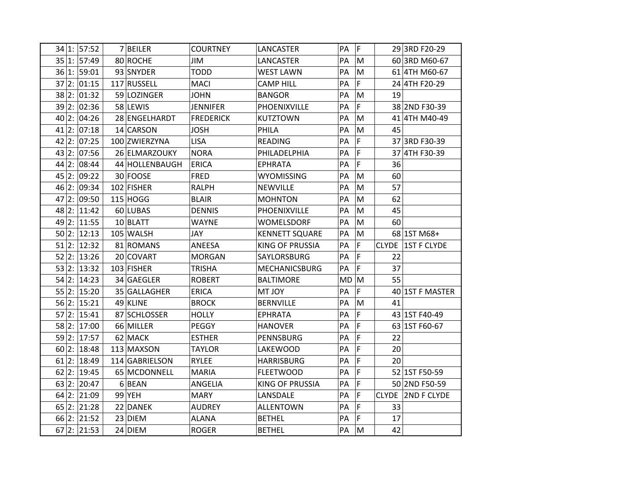|       |    | 34 1:  57:52   | 7 BEILER       | <b>COURTNEY</b>  | LANCASTER              | PA | F |              | 29 3RD F20-29      |
|-------|----|----------------|----------------|------------------|------------------------|----|---|--------------|--------------------|
|       |    | 35 1: 57:49    | 80 ROCHE       | JIM              | LANCASTER              | PA | M |              | 60 3RD M60-67      |
|       |    | 36 1: 59:01    | 93 SNYDER      | <b>TODD</b>      | <b>WEST LAWN</b>       | PA | M |              | 61 4TH M60-67      |
| 37 2: |    | 01:15          | 117 RUSSELL    | <b>MACI</b>      | <b>CAMP HILL</b>       | PA | F |              | 24 4TH F20-29      |
|       |    | 38 2: 01:32    | 59 LOZINGER    | <b>JOHN</b>      | <b>BANGOR</b>          | PA | M | 19           |                    |
| 39 2: |    | 02:36          | 58 LEWIS       | <b>JENNIFER</b>  | PHOENIXVILLE           | PA | F |              | 38 2ND F30-39      |
| 40 2: |    | 04:26          | 28 ENGELHARDT  | <b>FREDERICK</b> | <b>KUTZTOWN</b>        | PA | M |              | 41 4TH M40-49      |
| 41 2: |    | 07:18          | 14 CARSON      | <b>JOSH</b>      | PHILA                  | PA | M | 45           |                    |
| 42    | 2: | 07:25          | 100 ZWIERZYNA  | <b>LISA</b>      | <b>READING</b>         | PA | F |              | 37 3RD F30-39      |
| 43 2: |    | 07:56          | 26 ELMARZOUKY  | <b>NORA</b>      | PHILADELPHIA           | PA | F |              | 37 4TH F30-39      |
| 44 2: |    | 08:44          | 44 HOLLENBAUGH | <b>ERICA</b>     | <b>EPHRATA</b>         | PA | F | 36           |                    |
| 45    | 2: | 09:22          | 30 FOOSE       | <b>FRED</b>      | <b>WYOMISSING</b>      | PA | M | 60           |                    |
| 46 2: |    | 09:34          | 102 FISHER     | <b>RALPH</b>     | NEWVILLE               | PA | M | 57           |                    |
| 47    | 2: | 09:50          | $115$ HOGG     | <b>BLAIR</b>     | <b>MOHNTON</b>         | PA | M | 62           |                    |
| 48    | 2: | 11:42          | 60 LUBAS       | <b>DENNIS</b>    | PHOENIXVILLE           | PA | M | 45           |                    |
| 49 2: |    | 11:55          | 10 BLATT       | <b>WAYNE</b>     | <b>WOMELSDORF</b>      | PA | M | 60           |                    |
| 50 2: |    | 12:13          | 105 WALSH      | JAY              | <b>KENNETT SQUARE</b>  | PA | M |              | 68 1ST M68+        |
| 51    | 2: | 12:32          | 81 ROMANS      | ANEESA           | <b>KING OF PRUSSIA</b> | PA | F | <b>CLYDE</b> | <b>1ST F CLYDE</b> |
| 52 2: |    | 13:26          | 20 COVART      | <b>MORGAN</b>    | SAYLORSBURG            | PA | F | 22           |                    |
| 53 2: |    | 13:32          | 103 FISHER     | <b>TRISHA</b>    | <b>MECHANICSBURG</b>   | PA | F | 37           |                    |
| 54 2: |    | 14:23          | 34 GAEGLER     | <b>ROBERT</b>    | <b>BALTIMORE</b>       | MD | M | 55           |                    |
|       |    | 55 2: 15:20    | 35 GALLAGHER   | <b>ERICA</b>     | <b>MT JOY</b>          | PA | F |              | 40 1ST F MASTER    |
| 56 2: |    | 15:21          | 49 KLINE       | <b>BROCK</b>     | <b>BERNVILLE</b>       | PA | M | 41           |                    |
| 57 2: |    | 15:41          | 87 SCHLOSSER   | <b>HOLLY</b>     | <b>EPHRATA</b>         | PA | F |              | 43 1ST F40-49      |
|       |    | 58 2: 17:00    | 66 MILLER      | PEGGY            | <b>HANOVER</b>         | PA | F |              | 63 1ST F60-67      |
| 59 2: |    | 17:57          | 62 MACK        | <b>ESTHER</b>    | PENNSBURG              | PA | F | 22           |                    |
| 60 2: |    | 18:48          | 113 MAXSON     | <b>TAYLOR</b>    | LAKEWOOD               | PA | F | 20           |                    |
|       |    | $61$  2: 18:49 | 114 GABRIELSON | RYLEE            | <b>HARRISBURG</b>      | PA | F | 20           |                    |
| 62    | 2: | 19:45          | 65 MCDONNELL   | <b>MARIA</b>     | <b>FLEETWOOD</b>       | PA | F |              | 52 1ST F50-59      |
| 63 2: |    | 20:47          | 6 BEAN         | ANGELIA          | <b>KING OF PRUSSIA</b> | PА | F |              | 50 2ND F50-59      |
|       |    | 64 2: 21:09    | 99 YEH         | <b>MARY</b>      | LANSDALE               | PA | F | <b>CLYDE</b> | <b>2ND F CLYDE</b> |
| 65    | 2: | 21:28          | 22 DANEK       | <b>AUDREY</b>    | <b>ALLENTOWN</b>       | PA | F | 33           |                    |
| 66 2: |    | 21:52          | 23 DIEM        | <b>ALANA</b>     | <b>BETHEL</b>          | PA | F | 17           |                    |
|       |    | $67$  2: 21:53 | 24 DIEM        | <b>ROGER</b>     | <b>BETHEL</b>          | PA | M | 42           |                    |
|       |    |                |                |                  |                        |    |   |              |                    |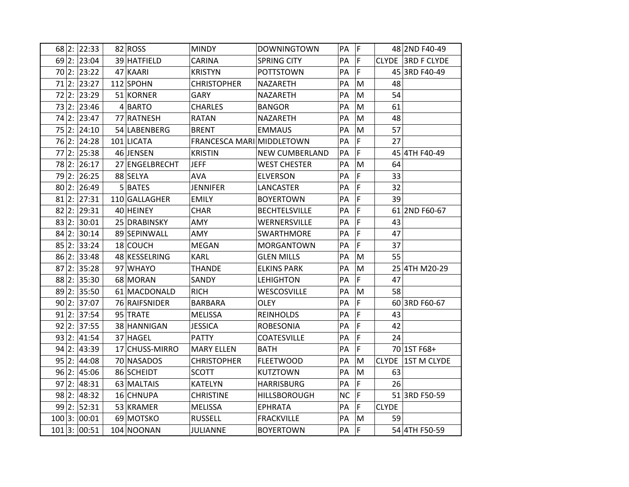|              | 68 2: 22:33 | 82 ROSS        | <b>MINDY</b>              | <b>DOWNINGTOWN</b>    | <b>PA</b> | ΙF             |              | 48 2ND F40-49      |
|--------------|-------------|----------------|---------------------------|-----------------------|-----------|----------------|--------------|--------------------|
|              | 69 2: 23:04 | 39 HATFIELD    | CARINA                    | <b>SPRING CITY</b>    | PA        | $\mathsf F$    |              | CLYDE 3RD F CLYDE  |
|              | 70 2: 23:22 | 47 KAARI       | <b>KRISTYN</b>            | <b>POTTSTOWN</b>      | PA        | F              |              | 45 3RD F40-49      |
| 71 2:        | 23:27       | 112 SPOHN      | <b>CHRISTOPHER</b>        | NAZARETH              | PA        | M              | 48           |                    |
|              | 72 2: 23:29 | 51 KORNER      | <b>GARY</b>               | NAZARETH              | PA        | M              | 54           |                    |
| 2:<br>73     | 23:46       | 4 BARTO        | <b>CHARLES</b>            | <b>BANGOR</b>         | PA        | M              | 61           |                    |
| 74 2:        | 23:47       | 77 RATNESH     | <b>RATAN</b>              | NAZARETH              | PA        | M              | 48           |                    |
| 75 2:        | 24:10       | 54 LABENBERG   | <b>BRENT</b>              | <b>EMMAUS</b>         | PA        | M              | 57           |                    |
| 76 2:        | 24:28       | 101 LICATA     | FRANCESCA MARI MIDDLETOWN |                       | PA        | $\mathsf F$    | 27           |                    |
|              | 77 2: 25:38 | 46 JENSEN      | <b>KRISTIN</b>            | <b>NEW CUMBERLAND</b> | PA        | F              |              | 45 4TH F40-49      |
| 78 2:        | 26:17       | 27 ENGELBRECHT | <b>JEFF</b>               | <b>WEST CHESTER</b>   | PA        | M              | 64           |                    |
| 79 2:        | 26:25       | 88 SELYA       | AVA                       | <b>ELVERSON</b>       | PA        | F              | 33           |                    |
|              | 80 2: 26:49 | 5 BATES        | <b>JENNIFER</b>           | LANCASTER             | PA        | F              | 32           |                    |
| 2:<br>81     | 27:31       | 110 GALLAGHER  | <b>EMILY</b>              | <b>BOYERTOWN</b>      | PA        | $\mathsf F$    | 39           |                    |
| 82 2:        | 29:31       | 40 HEINEY      | <b>CHAR</b>               | <b>BECHTELSVILLE</b>  | PA        | $\overline{F}$ |              | 61 2ND F60-67      |
|              | 83 2: 30:01 | 25 DRABINSKY   | AMY                       | WERNERSVILLE          | PA        | F              | 43           |                    |
| 84           | 2: 30:14    | 89 SEPINWALL   | AMY                       | SWARTHMORE            | PA        | F              | 47           |                    |
|              | 85 2: 33:24 | 18 COUCH       | <b>MEGAN</b>              | <b>MORGANTOWN</b>     | PA        | F              | 37           |                    |
|              | 86 2: 33:48 | 48 KESSELRING  | <b>KARL</b>               | <b>GLEN MILLS</b>     | PA        | M              | 55           |                    |
| 87 2:        | 35:28       | 97 WHAYO       | <b>THANDE</b>             | <b>ELKINS PARK</b>    | PA        | M              |              | 25 4TH M20-29      |
|              | 88 2: 35:30 | 68 MORAN       | SANDY                     | <b>LEHIGHTON</b>      | PA        | F              | 47           |                    |
| 89 2:        | 35:50       | 61 MACDONALD   | <b>RICH</b>               | WESCOSVILLE           | PA        | M              | 58           |                    |
|              | 90 2: 37:07 | 76 RAIFSNIDER  | <b>BARBARA</b>            | <b>OLEY</b>           | PA        | F              |              | 60 3RD F60-67      |
|              | 91 2:37:54  | 95 TRATE       | <b>MELISSA</b>            | <b>REINHOLDS</b>      | PA        | F              | 43           |                    |
| 92           | 2: 37:55    | 38 HANNIGAN    | <b>JESSICA</b>            | <b>ROBESONIA</b>      | PA        | $\mathsf F$    | 42           |                    |
| 93 2:        | 41:54       | 37 HAGEL       | <b>PATTY</b>              | COATESVILLE           | PA        | F              | 24           |                    |
| 94 2:        | 43:39       | 17 CHUSS-MIRRO | <b>MARY ELLEN</b>         | <b>BATH</b>           | PA        | F              |              | 70 1ST F68+        |
| 95 2:        | 44:08       | 70 NASADOS     | <b>CHRISTOPHER</b>        | <b>FLEETWOOD</b>      | PA        | М              | <b>CLYDE</b> | <b>1ST M CLYDE</b> |
|              | 96 2:45:06  | 86 SCHEIDT     | <b>SCOTT</b>              | <b>KUTZTOWN</b>       | PA        | ${\sf M}$      | 63           |                    |
| 97 2:        | 48:31       | 63 MALTAIS     | <b>KATELYN</b>            | <b>HARRISBURG</b>     | PA        | F              | 26           |                    |
| 98 2:        | 48:32       | 16 CHNUPA      | <b>CHRISTINE</b>          | HILLSBOROUGH          | <b>NC</b> | F              |              | 51 3RD F50-59      |
| 99 2:        | 52:31       | 53 KRAMER      | <b>MELISSA</b>            | <b>EPHRATA</b>        | PA        | F              | <b>CLYDE</b> |                    |
| 100 3: 00:01 |             | 69 MOTSKO      | <b>RUSSELL</b>            | <b>FRACKVILLE</b>     | PA        | M              | 59           |                    |
| 101 3: 00:51 |             | 104 NOONAN     | <b>JULIANNE</b>           | <b>BOYERTOWN</b>      | PA        | F              |              | 54 4TH F50-59      |